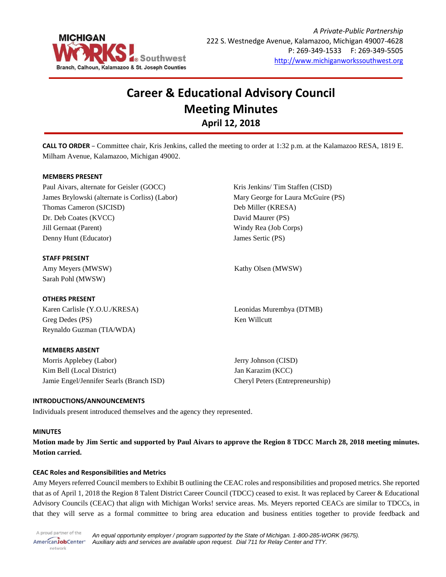

# **Career & Educational Advisory Council Meeting Minutes April 12, 2018**

**CALL TO ORDER** – Committee chair, Kris Jenkins, called the meeting to order at 1:32 p.m. at the Kalamazoo RESA, 1819 E. Milham Avenue, Kalamazoo, Michigan 49002.

## **MEMBERS PRESENT**

Paul Aivars, alternate for Geisler (GOCC) James Brylowski (alternate is Corliss) (Labor) Thomas Cameron (SJCISD) Dr. Deb Coates (KVCC) Jill Gernaat (Parent) Denny Hunt (Educator)

## **STAFF PRESENT**

Amy Meyers (MWSW) Sarah Pohl (MWSW)

### **OTHERS PRESENT**

Karen Carlisle (Y.O.U./KRESA) Greg Dedes (PS) Reynaldo Guzman (TIA/WDA)

### **MEMBERS ABSENT**

Morris Applebey (Labor) Kim Bell (Local District) Jamie Engel/Jennifer Searls (Branch ISD) Kris Jenkins/ Tim Staffen (CISD) Mary George for Laura McGuire (PS) Deb Miller (KRESA) David Maurer (PS) Windy Rea (Job Corps) James Sertic (PS)

Kathy Olsen (MWSW)

Leonidas Murembya (DTMB) Ken Willcutt

Jerry Johnson (CISD) Jan Karazim (KCC) Cheryl Peters (Entrepreneurship)

## **INTRODUCTIONS/ANNOUNCEMENTS**

Individuals present introduced themselves and the agency they represented.

### **MINUTES**

**Motion made by Jim Sertic and supported by Paul Aivars to approve the Region 8 TDCC March 28, 2018 meeting minutes. Motion carried.**

### **CEAC Roles and Responsibilities and Metrics**

Amy Meyers referred Council members to Exhibit B outlining the CEAC roles and responsibilities and proposed metrics. She reported that as of April 1, 2018 the Region 8 Talent District Career Council (TDCC) ceased to exist. It was replaced by Career & Educational Advisory Councils (CEAC) that align with Michigan Works! service areas. Ms. Meyers reported CEACs are similar to TDCCs, in that they will serve as a formal committee to bring area education and business entities together to provide feedback and

A proud partner of the *An equal opportunity employer / program supported by the State of Michigan. 1-800-285-WORK (9675).* AmericanJobCenter<sup>®</sup> *Auxiliary aids and services are available upon request. Dial 711 for Relay Center and TTY.* network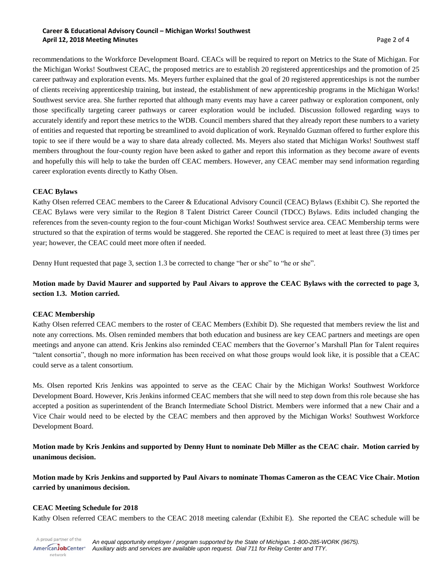## **Career & Educational Advisory Council – Michigan Works! Southwest April 12, 2018 Meeting Minutes** Page 2 of 4

recommendations to the Workforce Development Board. CEACs will be required to report on Metrics to the State of Michigan. For the Michigan Works! Southwest CEAC, the proposed metrics are to establish 20 registered apprenticeships and the promotion of 25 career pathway and exploration events. Ms. Meyers further explained that the goal of 20 registered apprenticeships is not the number of clients receiving apprenticeship training, but instead, the establishment of new apprenticeship programs in the Michigan Works! Southwest service area. She further reported that although many events may have a career pathway or exploration component, only those specifically targeting career pathways or career exploration would be included. Discussion followed regarding ways to accurately identify and report these metrics to the WDB. Council members shared that they already report these numbers to a variety of entities and requested that reporting be streamlined to avoid duplication of work. Reynaldo Guzman offered to further explore this topic to see if there would be a way to share data already collected. Ms. Meyers also stated that Michigan Works! Southwest staff members throughout the four-county region have been asked to gather and report this information as they become aware of events and hopefully this will help to take the burden off CEAC members. However, any CEAC member may send information regarding career exploration events directly to Kathy Olsen.

## **CEAC Bylaws**

Kathy Olsen referred CEAC members to the Career & Educational Advisory Council (CEAC) Bylaws (Exhibit C). She reported the CEAC Bylaws were very similar to the Region 8 Talent District Career Council (TDCC) Bylaws. Edits included changing the references from the seven-county region to the four-count Michigan Works! Southwest service area. CEAC Membership terms were structured so that the expiration of terms would be staggered. She reported the CEAC is required to meet at least three (3) times per year; however, the CEAC could meet more often if needed.

Denny Hunt requested that page 3, section 1.3 be corrected to change "her or she" to "he or she".

# **Motion made by David Maurer and supported by Paul Aivars to approve the CEAC Bylaws with the corrected to page 3, section 1.3. Motion carried.**

## **CEAC Membership**

Kathy Olsen referred CEAC members to the roster of CEAC Members (Exhibit D). She requested that members review the list and note any corrections. Ms. Olsen reminded members that both education and business are key CEAC partners and meetings are open meetings and anyone can attend. Kris Jenkins also reminded CEAC members that the Governor's Marshall Plan for Talent requires "talent consortia", though no more information has been received on what those groups would look like, it is possible that a CEAC could serve as a talent consortium.

Ms. Olsen reported Kris Jenkins was appointed to serve as the CEAC Chair by the Michigan Works! Southwest Workforce Development Board. However, Kris Jenkins informed CEAC members that she will need to step down from this role because she has accepted a position as superintendent of the Branch Intermediate School District. Members were informed that a new Chair and a Vice Chair would need to be elected by the CEAC members and then approved by the Michigan Works! Southwest Workforce Development Board.

**Motion made by Kris Jenkins and supported by Denny Hunt to nominate Deb Miller as the CEAC chair. Motion carried by unanimous decision.**

**Motion made by Kris Jenkins and supported by Paul Aivars to nominate Thomas Cameron as the CEAC Vice Chair. Motion carried by unanimous decision.**

## **CEAC Meeting Schedule for 2018**

network

Kathy Olsen referred CEAC members to the CEAC 2018 meeting calendar (Exhibit E). She reported the CEAC schedule will be

A proud partner of the *An equal opportunity employer / program supported by the State of Michigan. 1-800-285-WORK (9675).* AmericanJobCenter\* *Auxiliary aids and services are available upon request. Dial 711 for Relay Center and TTY.*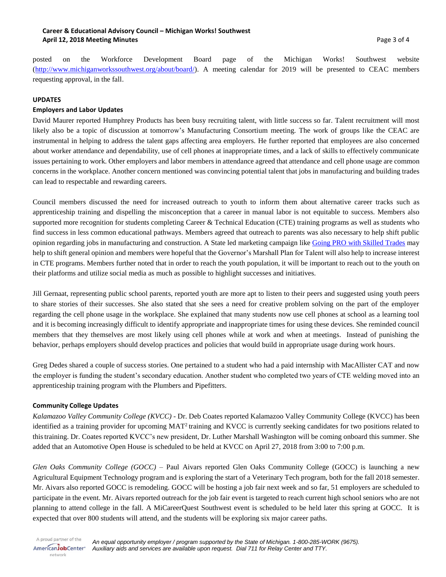## **Career & Educational Advisory Council – Michigan Works! Southwest April 12, 2018 Meeting Minutes** Page 3 of 4

posted on the Workforce Development Board page of the Michigan Works! Southwest website [\(http://www.michiganworkssouthwest.org/about/board/\)](http://www.michiganworkssouthwest.org/about/board/). A meeting calendar for 2019 will be presented to CEAC members requesting approval, in the fall.

### **UPDATES**

## **Employers and Labor Updates**

David Maurer reported Humphrey Products has been busy recruiting talent, with little success so far. Talent recruitment will most likely also be a topic of discussion at tomorrow's Manufacturing Consortium meeting. The work of groups like the CEAC are instrumental in helping to address the talent gaps affecting area employers. He further reported that employees are also concerned about worker attendance and dependability, use of cell phones at inappropriate times, and a lack of skills to effectively communicate issues pertaining to work. Other employers and labor members in attendance agreed that attendance and cell phone usage are common concerns in the workplace. Another concern mentioned was convincing potential talent that jobs in manufacturing and building trades can lead to respectable and rewarding careers.

Council members discussed the need for increased outreach to youth to inform them about alternative career tracks such as apprenticeship training and dispelling the misconception that a career in manual labor is not equitable to success. Members also supported more recognition for students completing Career & Technical Education (CTE) training programs as well as students who find success in less common educational pathways. Members agreed that outreach to parents was also necessary to help shift public opinion regarding jobs in manufacturing and construction. A State led marketing campaign like Going [PRO with Skilled Trades](https://www.mitalent.org/skilled-trades) may help to shift general opinion and members were hopeful that the Governor's Marshall Plan for Talent will also help to increase interest in CTE programs. Members further noted that in order to reach the youth population, it will be important to reach out to the youth on their platforms and utilize social media as much as possible to highlight successes and initiatives.

Jill Gernaat, representing public school parents, reported youth are more apt to listen to their peers and suggested using youth peers to share stories of their successes. She also stated that she sees a need for creative problem solving on the part of the employer regarding the cell phone usage in the workplace. She explained that many students now use cell phones at school as a learning tool and it is becoming increasingly difficult to identify appropriate and inappropriate times for using these devices. She reminded council members that they themselves are most likely using cell phones while at work and when at meetings. Instead of punishing the behavior, perhaps employers should develop practices and policies that would build in appropriate usage during work hours.

Greg Dedes shared a couple of success stories. One pertained to a student who had a paid internship with MacAllister CAT and now the employer is funding the student's secondary education. Another student who completed two years of CTE welding moved into an apprenticeship training program with the Plumbers and Pipefitters.

### **Community College Updates**

*Kalamazoo Valley Community College (KVCC) -* Dr. Deb Coates reported Kalamazoo Valley Community College (KVCC) has been identified as a training provider for upcoming  $MAT<sup>2</sup>$  training and KVCC is currently seeking candidates for two positions related to thistraining. Dr. Coates reported KVCC's new president, Dr. Luther Marshall Washington will be coming onboard this summer. She added that an Automotive Open House is scheduled to be held at KVCC on April 27, 2018 from 3:00 to 7:00 p.m.

*Glen Oaks Community College (GOCC) –* Paul Aivars reported Glen Oaks Community College (GOCC) is launching a new Agricultural Equipment Technology program and is exploring the start of a Veterinary Tech program, both for the fall 2018 semester. Mr. Aivars also reported GOCC is remodeling. GOCC will be hosting a job fair next week and so far, 51 employers are scheduled to participate in the event. Mr. Aivars reported outreach for the job fair event is targeted to reach current high school seniors who are not planning to attend college in the fall. A MiCareerQuest Southwest event is scheduled to be held later this spring at GOCC. It is expected that over 800 students will attend, and the students will be exploring six major career paths.

A proud partner of the AmericanJobCenter\* network